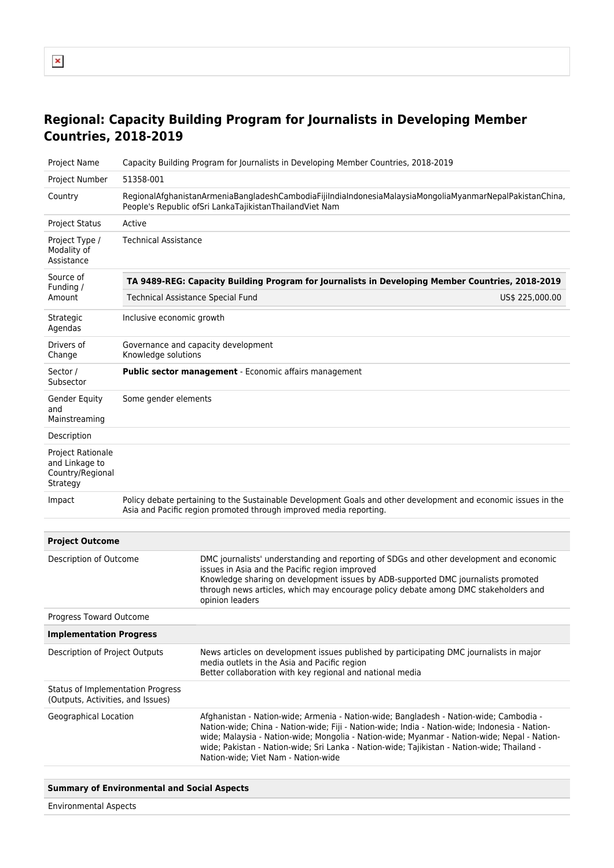## **Regional: Capacity Building Program for Journalists in Developing Member Countries, 2018-2019**

| Project Name                                                               | Capacity Building Program for Journalists in Developing Member Countries, 2018-2019                                                                                                  |                                                                                                                                                                                                                                                                                                                                                                                                                                |  |  |  |  |  |
|----------------------------------------------------------------------------|--------------------------------------------------------------------------------------------------------------------------------------------------------------------------------------|--------------------------------------------------------------------------------------------------------------------------------------------------------------------------------------------------------------------------------------------------------------------------------------------------------------------------------------------------------------------------------------------------------------------------------|--|--|--|--|--|
| Project Number                                                             | 51358-001                                                                                                                                                                            |                                                                                                                                                                                                                                                                                                                                                                                                                                |  |  |  |  |  |
| Country                                                                    | Regional Afghanistan Armenia Bangladesh Cambodia Fijilndialndonesia Malaysia Mongolia Myanmar Nepal Pakistan China,<br>People's Republic ofSri LankaTajikistanThailandViet Nam       |                                                                                                                                                                                                                                                                                                                                                                                                                                |  |  |  |  |  |
| <b>Project Status</b>                                                      | Active                                                                                                                                                                               |                                                                                                                                                                                                                                                                                                                                                                                                                                |  |  |  |  |  |
| Project Type /<br>Modality of<br>Assistance                                | <b>Technical Assistance</b>                                                                                                                                                          |                                                                                                                                                                                                                                                                                                                                                                                                                                |  |  |  |  |  |
| Source of<br>Funding /                                                     | TA 9489-REG: Capacity Building Program for Journalists in Developing Member Countries, 2018-2019                                                                                     |                                                                                                                                                                                                                                                                                                                                                                                                                                |  |  |  |  |  |
| Amount                                                                     | <b>Technical Assistance Special Fund</b>                                                                                                                                             | US\$ 225,000.00                                                                                                                                                                                                                                                                                                                                                                                                                |  |  |  |  |  |
| Strategic<br>Agendas                                                       |                                                                                                                                                                                      | Inclusive economic growth                                                                                                                                                                                                                                                                                                                                                                                                      |  |  |  |  |  |
| Drivers of<br>Change                                                       | Knowledge solutions                                                                                                                                                                  | Governance and capacity development                                                                                                                                                                                                                                                                                                                                                                                            |  |  |  |  |  |
| Sector /<br>Subsector                                                      | Public sector management - Economic affairs management                                                                                                                               |                                                                                                                                                                                                                                                                                                                                                                                                                                |  |  |  |  |  |
| Gender Equity<br>and<br>Mainstreaming                                      | Some gender elements                                                                                                                                                                 |                                                                                                                                                                                                                                                                                                                                                                                                                                |  |  |  |  |  |
| Description                                                                |                                                                                                                                                                                      |                                                                                                                                                                                                                                                                                                                                                                                                                                |  |  |  |  |  |
| <b>Project Rationale</b><br>and Linkage to<br>Country/Regional<br>Strategy |                                                                                                                                                                                      |                                                                                                                                                                                                                                                                                                                                                                                                                                |  |  |  |  |  |
| Impact                                                                     | Policy debate pertaining to the Sustainable Development Goals and other development and economic issues in the<br>Asia and Pacific region promoted through improved media reporting. |                                                                                                                                                                                                                                                                                                                                                                                                                                |  |  |  |  |  |
| <b>Project Outcome</b>                                                     |                                                                                                                                                                                      |                                                                                                                                                                                                                                                                                                                                                                                                                                |  |  |  |  |  |
| Description of Outcome                                                     |                                                                                                                                                                                      | DMC journalists' understanding and reporting of SDGs and other development and economic<br>issues in Asia and the Pacific region improved<br>Knowledge sharing on development issues by ADB-supported DMC journalists promoted<br>through news articles, which may encourage policy debate among DMC stakeholders and<br>opinion leaders                                                                                       |  |  |  |  |  |
| Progress Toward Outcome                                                    |                                                                                                                                                                                      |                                                                                                                                                                                                                                                                                                                                                                                                                                |  |  |  |  |  |
| <b>Implementation Progress</b>                                             |                                                                                                                                                                                      |                                                                                                                                                                                                                                                                                                                                                                                                                                |  |  |  |  |  |
| Description of Project Outputs                                             |                                                                                                                                                                                      | News articles on development issues published by participating DMC journalists in major<br>media outlets in the Asia and Pacific region<br>Better collaboration with key regional and national media                                                                                                                                                                                                                           |  |  |  |  |  |
| Status of Implementation Progress<br>(Outputs, Activities, and Issues)     |                                                                                                                                                                                      |                                                                                                                                                                                                                                                                                                                                                                                                                                |  |  |  |  |  |
| Geographical Location                                                      |                                                                                                                                                                                      | Afghanistan - Nation-wide; Armenia - Nation-wide; Bangladesh - Nation-wide; Cambodia -<br>Nation-wide; China - Nation-wide; Fiji - Nation-wide; India - Nation-wide; Indonesia - Nation-<br>wide; Malaysia - Nation-wide; Mongolia - Nation-wide; Myanmar - Nation-wide; Nepal - Nation-<br>wide; Pakistan - Nation-wide; Sri Lanka - Nation-wide; Tajikistan - Nation-wide; Thailand -<br>Nation-wide; Viet Nam - Nation-wide |  |  |  |  |  |
|                                                                            | <b>Summary of Environmental and Social Aspects</b>                                                                                                                                   |                                                                                                                                                                                                                                                                                                                                                                                                                                |  |  |  |  |  |

Environmental Aspects